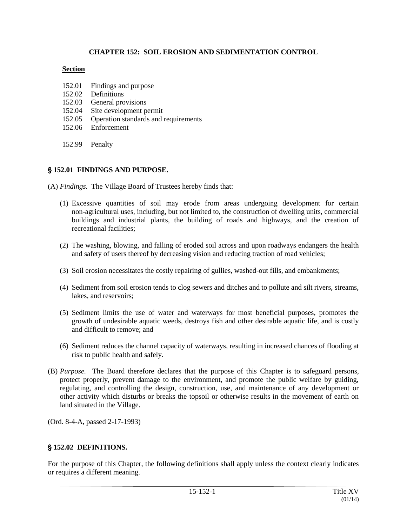### **CHAPTER 152: SOIL EROSION AND SEDIMENTATION CONTROL**

#### **Section**

- 152.01 Findings and purpose
- 152.02 Definitions
- 152.03 General provisions
- 152.04 Site development permit
- 152.05 Operation standards and requirements
- 152.06 Enforcement

152.99 Penalty

### ' **152.01 FINDINGS AND PURPOSE.**

(A) *Findings.* The Village Board of Trustees hereby finds that:

- (1) Excessive quantities of soil may erode from areas undergoing development for certain non-agricultural uses, including, but not limited to, the construction of dwelling units, commercial buildings and industrial plants, the building of roads and highways, and the creation of recreational facilities;
- (2) The washing, blowing, and falling of eroded soil across and upon roadways endangers the health and safety of users thereof by decreasing vision and reducing traction of road vehicles;
- (3) Soil erosion necessitates the costly repairing of gullies, washed-out fills, and embankments;
- (4) Sediment from soil erosion tends to clog sewers and ditches and to pollute and silt rivers, streams, lakes, and reservoirs;
- (5) Sediment limits the use of water and waterways for most beneficial purposes, promotes the growth of undesirable aquatic weeds, destroys fish and other desirable aquatic life, and is costly and difficult to remove; and
- (6) Sediment reduces the channel capacity of waterways, resulting in increased chances of flooding at risk to public health and safely.
- (B) *Purpose.* The Board therefore declares that the purpose of this Chapter is to safeguard persons, protect properly, prevent damage to the environment, and promote the public welfare by guiding, regulating, and controlling the design, construction, use, and maintenance of any development or other activity which disturbs or breaks the topsoil or otherwise results in the movement of earth on land situated in the Village.

(Ord. 8-4-A, passed 2-17-1993)

# ' **152.02 DEFINITIONS.**

For the purpose of this Chapter, the following definitions shall apply unless the context clearly indicates or requires a different meaning.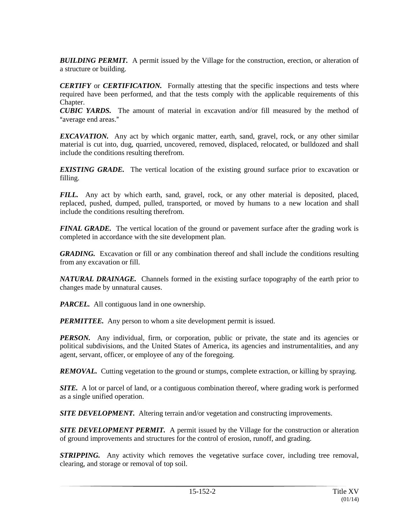**BUILDING PERMIT.** A permit issued by the Village for the construction, erection, or alteration of a structure or building.

*CERTIFY* or *CERTIFICATION.* Formally attesting that the specific inspections and tests where required have been performed, and that the tests comply with the applicable requirements of this Chapter.

*CUBIC YARDS.* The amount of material in excavation and/or fill measured by the method of "average end areas."

*EXCAVATION.* Any act by which organic matter, earth, sand, gravel, rock, or any other similar material is cut into, dug, quarried, uncovered, removed, displaced, relocated, or bulldozed and shall include the conditions resulting therefrom.

*EXISTING GRADE.* The vertical location of the existing ground surface prior to excavation or filling.

*FILL.* Any act by which earth, sand, gravel, rock, or any other material is deposited, placed, replaced, pushed, dumped, pulled, transported, or moved by humans to a new location and shall include the conditions resulting therefrom.

*FINAL GRADE.* The vertical location of the ground or pavement surface after the grading work is completed in accordance with the site development plan.

*GRADING.* Excavation or fill or any combination thereof and shall include the conditions resulting from any excavation or fill.

*NATURAL DRAINAGE.* Channels formed in the existing surface topography of the earth prior to changes made by unnatural causes.

*PARCEL.* All contiguous land in one ownership.

**PERMITTEE.** Any person to whom a site development permit is issued.

*PERSON.* Any individual, firm, or corporation, public or private, the state and its agencies or political subdivisions, and the United States of America, its agencies and instrumentalities, and any agent, servant, officer, or employee of any of the foregoing.

*REMOVAL.* Cutting vegetation to the ground or stumps, complete extraction, or killing by spraying.

*SITE.* A lot or parcel of land, or a contiguous combination thereof, where grading work is performed as a single unified operation.

*SITE DEVELOPMENT*. Altering terrain and/or vegetation and constructing improvements.

**SITE DEVELOPMENT PERMIT.** A permit issued by the Village for the construction or alteration of ground improvements and structures for the control of erosion, runoff, and grading.

*STRIPPING.* Any activity which removes the vegetative surface cover, including tree removal, clearing, and storage or removal of top soil.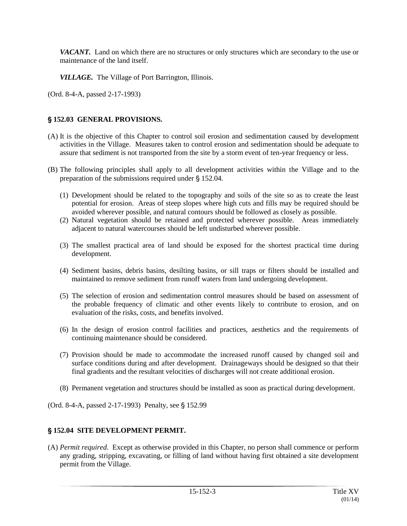*VACANT.* Land on which there are no structures or only structures which are secondary to the use or maintenance of the land itself.

*VILLAGE.* The Village of Port Barrington, Illinois.

(Ord. 8-4-A, passed 2-17-1993)

### ' **152.03 GENERAL PROVISIONS.**

- (A) It is the objective of this Chapter to control soil erosion and sedimentation caused by development activities in the Village. Measures taken to control erosion and sedimentation should be adequate to assure that sediment is not transported from the site by a storm event of ten-year frequency or less.
- (B) The following principles shall apply to all development activities within the Village and to the preparation of the submissions required under  $\S$  152.04.
	- (1) Development should be related to the topography and soils of the site so as to create the least potential for erosion. Areas of steep slopes where high cuts and fills may be required should be avoided wherever possible, and natural contours should be followed as closely as possible.
	- (2) Natural vegetation should be retained and protected wherever possible. Areas immediately adjacent to natural watercourses should be left undisturbed wherever possible.
	- (3) The smallest practical area of land should be exposed for the shortest practical time during development.
	- (4) Sediment basins, debris basins, desilting basins, or sill traps or filters should be installed and maintained to remove sediment from runoff waters from land undergoing development.
	- (5) The selection of erosion and sedimentation control measures should be based on assessment of the probable frequency of climatic and other events likely to contribute to erosion, and on evaluation of the risks, costs, and benefits involved.
	- (6) In the design of erosion control facilities and practices, aesthetics and the requirements of continuing maintenance should be considered.
	- (7) Provision should be made to accommodate the increased runoff caused by changed soil and surface conditions during and after development. Drainageways should be designed so that their final gradients and the resultant velocities of discharges will not create additional erosion.
	- (8) Permanent vegetation and structures should be installed as soon as practical during development.

(Ord. 8-4-A, passed 2-17-1993) Penalty, see § 152.99

#### ' **152.04 SITE DEVELOPMENT PERMIT.**

(A) *Permit required.* Except as otherwise provided in this Chapter, no person shall commence or perform any grading, stripping, excavating, or filling of land without having first obtained a site development permit from the Village.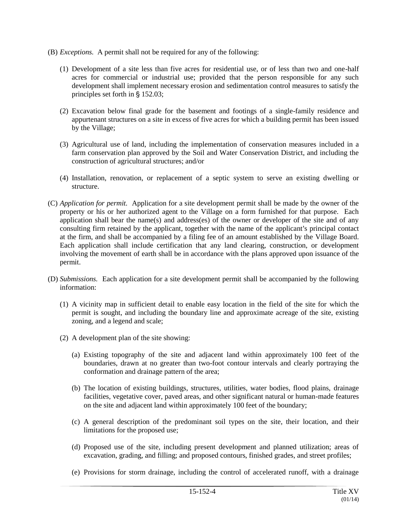- (B) *Exceptions.* A permit shall not be required for any of the following:
	- (1) Development of a site less than five acres for residential use, or of less than two and one-half acres for commercial or industrial use; provided that the person responsible for any such development shall implement necessary erosion and sedimentation control measures to satisfy the principles set forth in  $\S$  152.03;
	- (2) Excavation below final grade for the basement and footings of a single-family residence and appurtenant structures on a site in excess of five acres for which a building permit has been issued by the Village;
	- (3) Agricultural use of land, including the implementation of conservation measures included in a farm conservation plan approved by the Soil and Water Conservation District, and including the construction of agricultural structures; and/or
	- (4) Installation, renovation, or replacement of a septic system to serve an existing dwelling or structure.
- (C) *Application for permit.* Application for a site development permit shall be made by the owner of the property or his or her authorized agent to the Village on a form furnished for that purpose. Each application shall bear the name(s) and address(es) of the owner or developer of the site and of any consulting firm retained by the applicant, together with the name of the applicant's principal contact at the firm, and shall be accompanied by a filing fee of an amount established by the Village Board. Each application shall include certification that any land clearing, construction, or development involving the movement of earth shall be in accordance with the plans approved upon issuance of the permit.
- (D) *Submissions.* Each application for a site development permit shall be accompanied by the following information:
	- (1) A vicinity map in sufficient detail to enable easy location in the field of the site for which the permit is sought, and including the boundary line and approximate acreage of the site, existing zoning, and a legend and scale;
	- (2) A development plan of the site showing:
		- (a) Existing topography of the site and adjacent land within approximately 100 feet of the boundaries, drawn at no greater than two-foot contour intervals and clearly portraying the conformation and drainage pattern of the area;
		- (b) The location of existing buildings, structures, utilities, water bodies, flood plains, drainage facilities, vegetative cover, paved areas, and other significant natural or human-made features on the site and adjacent land within approximately 100 feet of the boundary;
		- (c) A general description of the predominant soil types on the site, their location, and their limitations for the proposed use;
		- (d) Proposed use of the site, including present development and planned utilization; areas of excavation, grading, and filling; and proposed contours, finished grades, and street profiles;
		- (e) Provisions for storm drainage, including the control of accelerated runoff, with a drainage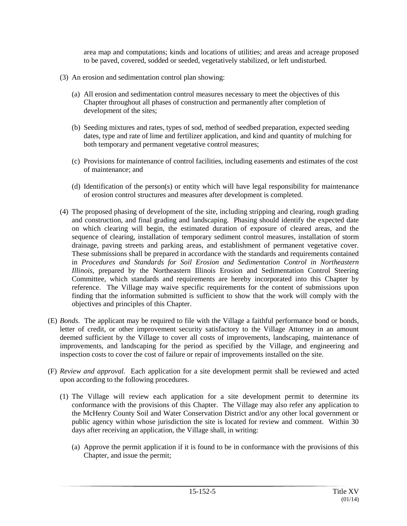area map and computations; kinds and locations of utilities; and areas and acreage proposed to be paved, covered, sodded or seeded, vegetatively stabilized, or left undisturbed.

- (3) An erosion and sedimentation control plan showing:
	- (a) All erosion and sedimentation control measures necessary to meet the objectives of this Chapter throughout all phases of construction and permanently after completion of development of the sites;
	- (b) Seeding mixtures and rates, types of sod, method of seedbed preparation, expected seeding dates, type and rate of lime and fertilizer application, and kind and quantity of mulching for both temporary and permanent vegetative control measures;
	- (c) Provisions for maintenance of control facilities, including easements and estimates of the cost of maintenance; and
	- (d) Identification of the person(s) or entity which will have legal responsibility for maintenance of erosion control structures and measures after development is completed.
- (4) The proposed phasing of development of the site, including stripping and clearing, rough grading and construction, and final grading and landscaping. Phasing should identify the expected date on which clearing will begin, the estimated duration of exposure of cleared areas, and the sequence of clearing, installation of temporary sediment control measures, installation of storm drainage, paving streets and parking areas, and establishment of permanent vegetative cover. These submissions shall be prepared in accordance with the standards and requirements contained in *Procedures and Standards for Soil Erosion and Sedimentation Control in Northeastern Illinois*, prepared by the Northeastern Illinois Erosion and Sedimentation Control Steering Committee, which standards and requirements are hereby incorporated into this Chapter by reference. The Village may waive specific requirements for the content of submissions upon finding that the information submitted is sufficient to show that the work will comply with the objectives and principles of this Chapter.
- (E) *Bonds.* The applicant may be required to file with the Village a faithful performance bond or bonds, letter of credit, or other improvement security satisfactory to the Village Attorney in an amount deemed sufficient by the Village to cover all costs of improvements, landscaping, maintenance of improvements, and landscaping for the period as specified by the Village, and engineering and inspection costs to cover the cost of failure or repair of improvements installed on the site.
- (F) *Review and approval.* Each application for a site development permit shall be reviewed and acted upon according to the following procedures.
	- (1) The Village will review each application for a site development permit to determine its conformance with the provisions of this Chapter. The Village may also refer any application to the McHenry County Soil and Water Conservation District and/or any other local government or public agency within whose jurisdiction the site is located for review and comment. Within 30 days after receiving an application, the Village shall, in writing:
		- (a) Approve the permit application if it is found to be in conformance with the provisions of this Chapter, and issue the permit;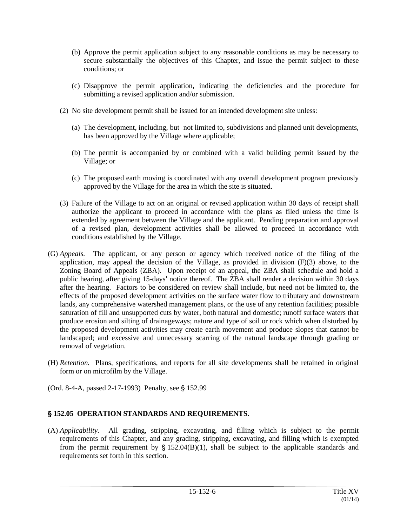- (b) Approve the permit application subject to any reasonable conditions as may be necessary to secure substantially the objectives of this Chapter, and issue the permit subject to these conditions; or
- (c) Disapprove the permit application, indicating the deficiencies and the procedure for submitting a revised application and/or submission.
- (2) No site development permit shall be issued for an intended development site unless:
	- (a) The development, including, but not limited to, subdivisions and planned unit developments, has been approved by the Village where applicable;
	- (b) The permit is accompanied by or combined with a valid building permit issued by the Village; or
	- (c) The proposed earth moving is coordinated with any overall development program previously approved by the Village for the area in which the site is situated.
- (3) Failure of the Village to act on an original or revised application within 30 days of receipt shall authorize the applicant to proceed in accordance with the plans as filed unless the time is extended by agreement between the Village and the applicant. Pending preparation and approval of a revised plan, development activities shall be allowed to proceed in accordance with conditions established by the Village.
- (G) *Appeals.* The applicant, or any person or agency which received notice of the filing of the application, may appeal the decision of the Village, as provided in division (F)(3) above, to the Zoning Board of Appeals (ZBA). Upon receipt of an appeal, the ZBA shall schedule and hold a public hearing, after giving 15-days' notice thereof. The ZBA shall render a decision within 30 days after the hearing. Factors to be considered on review shall include, but need not be limited to, the effects of the proposed development activities on the surface water flow to tributary and downstream lands, any comprehensive watershed management plans, or the use of any retention facilities; possible saturation of fill and unsupported cuts by water, both natural and domestic; runoff surface waters that produce erosion and silting of drainageways; nature and type of soil or rock which when disturbed by the proposed development activities may create earth movement and produce slopes that cannot be landscaped; and excessive and unnecessary scarring of the natural landscape through grading or removal of vegetation.
- (H) *Retention.* Plans, specifications, and reports for all site developments shall be retained in original form or on microfilm by the Village.
- (Ord. 8-4-A, passed 2-17-1993) Penalty, see § 152.99

# ' **152.05 OPERATION STANDARDS AND REQUIREMENTS.**

(A) *Applicability.* All grading, stripping, excavating, and filling which is subject to the permit requirements of this Chapter, and any grading, stripping, excavating, and filling which is exempted from the permit requirement by  $\S$  152.04(B)(1), shall be subject to the applicable standards and requirements set forth in this section.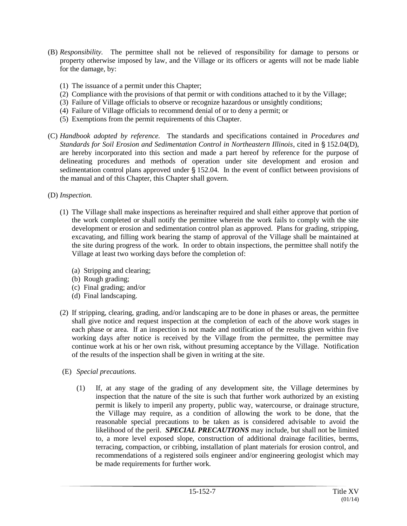- (B) *Responsibility.* The permittee shall not be relieved of responsibility for damage to persons or property otherwise imposed by law, and the Village or its officers or agents will not be made liable for the damage, by:
	- (1) The issuance of a permit under this Chapter;
	- (2) Compliance with the provisions of that permit or with conditions attached to it by the Village;
	- (3) Failure of Village officials to observe or recognize hazardous or unsightly conditions;
	- (4) Failure of Village officials to recommend denial of or to deny a permit; or
	- (5) Exemptions from the permit requirements of this Chapter.
- (C) *Handbook adopted by reference.* The standards and specifications contained in *Procedures and Standards for Soil Erosion and Sedimentation Control in Northeastern Illinois*, cited in § 152.04(D), are hereby incorporated into this section and made a part hereof by reference for the purpose of delineating procedures and methods of operation under site development and erosion and sedimentation control plans approved under  $\S$  152.04. In the event of conflict between provisions of the manual and of this Chapter, this Chapter shall govern.
- (D) *Inspection.*
	- (1) The Village shall make inspections as hereinafter required and shall either approve that portion of the work completed or shall notify the permittee wherein the work fails to comply with the site development or erosion and sedimentation control plan as approved. Plans for grading, stripping, excavating, and filling work bearing the stamp of approval of the Village shall be maintained at the site during progress of the work. In order to obtain inspections, the permittee shall notify the Village at least two working days before the completion of:
		- (a) Stripping and clearing;
		- (b) Rough grading;
		- (c) Final grading; and/or
		- (d) Final landscaping.
	- (2) If stripping, clearing, grading, and/or landscaping are to be done in phases or areas, the permittee shall give notice and request inspection at the completion of each of the above work stages in each phase or area. If an inspection is not made and notification of the results given within five working days after notice is received by the Village from the permittee, the permittee may continue work at his or her own risk, without presuming acceptance by the Village. Notification of the results of the inspection shall be given in writing at the site.
	- (E) *Special precautions.*
		- (1) If, at any stage of the grading of any development site, the Village determines by inspection that the nature of the site is such that further work authorized by an existing permit is likely to imperil any property, public way, watercourse, or drainage structure, the Village may require, as a condition of allowing the work to be done, that the reasonable special precautions to be taken as is considered advisable to avoid the likelihood of the peril. *SPECIAL PRECAUTIONS* may include, but shall not be limited to, a more level exposed slope, construction of additional drainage facilities, berms, terracing, compaction, or cribbing, installation of plant materials for erosion control, and recommendations of a registered soils engineer and/or engineering geologist which may be made requirements for further work.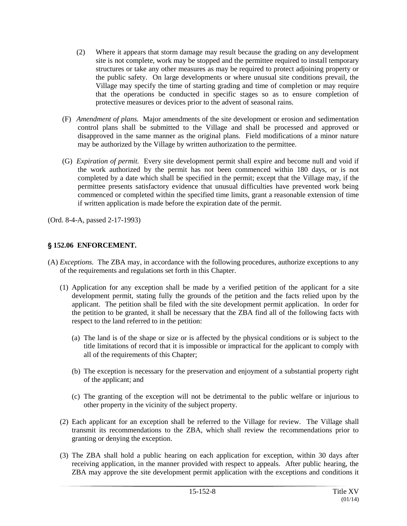- (2) Where it appears that storm damage may result because the grading on any development site is not complete, work may be stopped and the permittee required to install temporary structures or take any other measures as may be required to protect adjoining property or the public safety. On large developments or where unusual site conditions prevail, the Village may specify the time of starting grading and time of completion or may require that the operations be conducted in specific stages so as to ensure completion of protective measures or devices prior to the advent of seasonal rains.
- (F) *Amendment of plans.* Major amendments of the site development or erosion and sedimentation control plans shall be submitted to the Village and shall be processed and approved or disapproved in the same manner as the original plans. Field modifications of a minor nature may be authorized by the Village by written authorization to the permittee.
- (G) *Expiration of permit.* Every site development permit shall expire and become null and void if the work authorized by the permit has not been commenced within 180 days, or is not completed by a date which shall be specified in the permit; except that the Village may, if the permittee presents satisfactory evidence that unusual difficulties have prevented work being commenced or completed within the specified time limits, grant a reasonable extension of time if written application is made before the expiration date of the permit.

(Ord. 8-4-A, passed 2-17-1993)

# ' **152.06 ENFORCEMENT.**

- (A) *Exceptions.* The ZBA may, in accordance with the following procedures, authorize exceptions to any of the requirements and regulations set forth in this Chapter.
	- (1) Application for any exception shall be made by a verified petition of the applicant for a site development permit, stating fully the grounds of the petition and the facts relied upon by the applicant. The petition shall be filed with the site development permit application. In order for the petition to be granted, it shall be necessary that the ZBA find all of the following facts with respect to the land referred to in the petition:
		- (a) The land is of the shape or size or is affected by the physical conditions or is subject to the title limitations of record that it is impossible or impractical for the applicant to comply with all of the requirements of this Chapter;
		- (b) The exception is necessary for the preservation and enjoyment of a substantial property right of the applicant; and
		- (c) The granting of the exception will not be detrimental to the public welfare or injurious to other property in the vicinity of the subject property.
	- (2) Each applicant for an exception shall be referred to the Village for review. The Village shall transmit its recommendations to the ZBA, which shall review the recommendations prior to granting or denying the exception.
	- (3) The ZBA shall hold a public hearing on each application for exception, within 30 days after receiving application, in the manner provided with respect to appeals. After public hearing, the ZBA may approve the site development permit application with the exceptions and conditions it